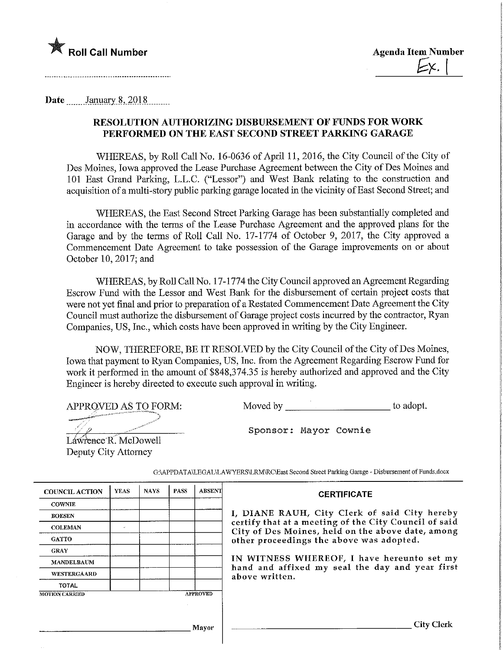

Date January 8, 2018

## RESOLUTION AUTHORIZING DISBURSEMENT OF FUNDS FOR WORK PERFORMED ON THE EAST SECOND STREET PARKING GARAGE

WHEREAS, by Roll Call No. 16-0636 of April 11, 2016, the City Council of the City of Des Moines, Iowa approved the Lease Purchase Agreement between the City of Des Moines and 101 East Grand Parking, L.L.C. ("Lessor") and West Bank relating to the construction and acquisition of a multi-story public parking garage located in the vicinity of East Second Street; and

WHEREAS, the East Second Street Parking Garage has been substantially completed and in accordance with the terms of the Lease Purchase Agreement and the approved plans for the Garage and by the terms of Roll Call No. 17-1774 of October 9, 2017, the City approved a Commencement Date Agreement to take possession of the Garage improvements on or about October 10, 2017; and

WHEREAS, by Roll Call No. 17-1774 the City Council approved an Agreement Regarding Escrow Fund with the Lessor and West Bank for the disbursement of certam project costs that were not yet final and prior to preparation of a Restated Commencement Date Agreement the City Council must authorize the disbursement of Garage project costs incurred by the contractor, Ryan Companies, US, Inc., which costs have been approved in writing by the City Engineer.

NOW, THEREFORE, BE IT RESOLVED by the City Council of the City of Des Moines, Iowa that payment to Ryan Companies, US, Inc. from the Agreement Regarding Escrow Fund for work it performed in the amount of \$848,374.35 is hereby authorized and approved and the City Engineer is hereby directed to execute such approval in writing.

APPROVED AS TO FORM:

Moved by to adopt.

.^.,,,--~'- '-"••'• ••• •~™-m«"n-.

Sponsor: Mayor Cownie

Lawrence R. McDowell Deputy City Attorney

| <b>COUNCIL ACTION</b> | <b>YEAS</b>   | <b>NAYS</b> | <b>PASS</b> | <b>ABSENT</b>   | <b>CERTIFICATE</b>                                                                                         |
|-----------------------|---------------|-------------|-------------|-----------------|------------------------------------------------------------------------------------------------------------|
| <b>COWNIE</b>         |               |             |             |                 |                                                                                                            |
| <b>BOESEN</b>         |               |             |             |                 | I, DIANE RAUH, City Clerk of said City hereby                                                              |
| <b>COLEMAN</b>        | $\mathcal{L}$ |             |             |                 | certify that at a meeting of the City Council of said<br>City of Des Moines, held on the above date, among |
| <b>GATTO</b>          |               |             |             |                 | other proceedings the above was adopted.                                                                   |
| <b>GRAY</b>           |               |             |             |                 |                                                                                                            |
| <b>MANDELBAUM</b>     |               |             |             |                 | IN WITNESS WHEREOF, I have hereunto set my<br>hand and affixed my seal the day and year first              |
| <b>WESTERGAARD</b>    |               |             |             |                 | above written.                                                                                             |
| <b>TOTAL</b>          |               |             |             |                 |                                                                                                            |
| <b>MOTION CARRIED</b> |               |             |             | <b>APPROVED</b> |                                                                                                            |
|                       |               |             |             |                 |                                                                                                            |
|                       |               |             |             |                 |                                                                                                            |
|                       |               |             |             | Mayor           | City Cl                                                                                                    |

G:\APPDATAYLEGAL\LAWYERS\LRM\RC\East Second Street Parking Garage - Disbursement of Funds.docx